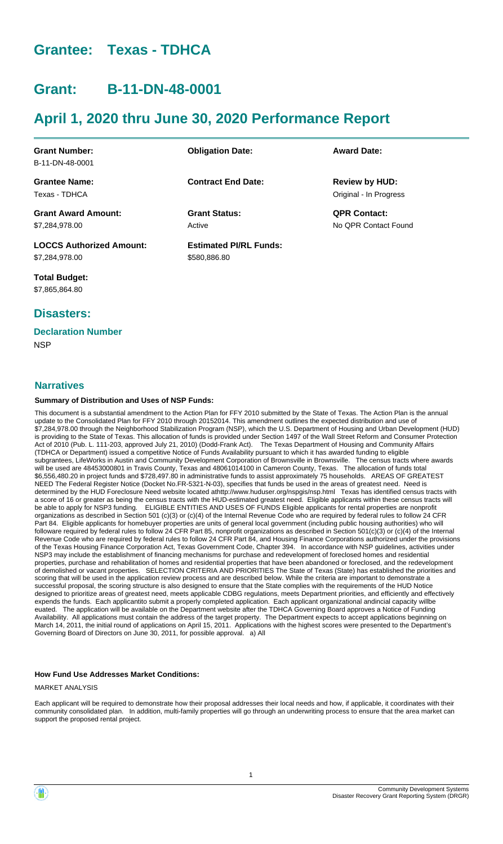# **Grantee: Texas - TDHCA**

# **Grant: B-11-DN-48-0001**

# **April 1, 2020 thru June 30, 2020 Performance Report**

| <b>Grant Number:</b><br>B-11-DN-48-0001           | <b>Obligation Date:</b>                       | <b>Award Date:</b>                              |
|---------------------------------------------------|-----------------------------------------------|-------------------------------------------------|
| <b>Grantee Name:</b><br>Texas - TDHCA             | <b>Contract End Date:</b>                     | <b>Review by HUD:</b><br>Original - In Progress |
| <b>Grant Award Amount:</b><br>\$7,284,978.00      | <b>Grant Status:</b><br>Active                | <b>QPR Contact:</b><br>No OPR Contact Found     |
| <b>LOCCS Authorized Amount:</b><br>\$7,284,978.00 | <b>Estimated PI/RL Funds:</b><br>\$580,886.80 |                                                 |

**Total Budget:** \$7,865,864.80

# **Disasters:**

## **Declaration Number**

**NSP** 

### **Narratives**

#### **Summary of Distribution and Uses of NSP Funds:**

This document is a substantial amendment to the Action Plan for FFY 2010 submitted by the State of Texas. The Action Plan is the annual update to the Consolidated Plan for FFY 2010 through 20152014. This amendment outlines the expected distribution and use of \$7,284,978.00 through the Neighborhood Stabilization Program (NSP), which the U.S. Department of Housing and Urban Development (HUD) is providing to the State of Texas. This allocation of funds is provided under Section 1497 of the Wall Street Reform and Consumer Protection Act of 2010 (Pub. L. 111-203, approved July 21, 2010) (Dodd-Frank Act). The Texas Department of Housing and Community Affairs (TDHCA or Department) issued a competitive Notice of Funds Availability pursuant to which it has awarded funding to eligible subgrantees, LifeWorks in Austin and Community Development Corporation of Brownsville in Brownsville. The census tracts where awards will be used are 48453000801 in Travis County, Texas and 48061014100 in Cameron County, Texas. The allocation of funds total \$6,556,480.20 in project funds and \$728,497.80 in administrative funds to assist approximately 75 households. AREAS OF GREATEST NEED The Federal Register Notice (Docket No.FR-5321-N-03), specifies that funds be used in the areas of greatest need. Need is determined by the HUD Foreclosure Need website located athttp://www.huduser.org/nspgis/nsp.html Texas has identified census tracts with a score of 16 or greater as being the census tracts with the HUD-estimated greatest need. Eligible applicants within these census tracts will be able to apply for NSP3 funding. ELIGIBLE ENTITIES AND USES OF FUNDS Eligible applicants for rental properties are nonprofit organizations as described in Section 501 (c)(3) or (c)(4) of the Internal Revenue Code who are required by federal rules to follow 24 CFR Part 84. Eligible applicants for homebuyer properties are units of general local government (including public housing authorities) who will followare required by federal rules to follow 24 CFR Part 85, nonprofit organizations as described in Section 501(c)(3) or (c)(4) of the Internal Revenue Code who are required by federal rules to follow 24 CFR Part 84, and Housing Finance Corporations authorized under the provisions of the Texas Housing Finance Corporation Act, Texas Government Code, Chapter 394. In accordance with NSP guidelines, activities under NSP3 may include the establishment of financing mechanisms for purchase and redevelopment of foreclosed homes and residential properties, purchase and rehabilitation of homes and residential properties that have been abandoned or foreclosed, and the redevelopment of demolished or vacant properties. SELECTION CRITERIA AND PRIORITIES The State of Texas (State) has established the priorities and scoring that will be used in the application review process and are described below. While the criteria are important to demonstrate a successful proposal, the scoring structure is also designed to ensure that the State complies with the requirements of the HUD Notice designed to prioritize areas of greatest need, meets applicable CDBG regulations, meets Department priorities, and efficiently and effectively expends the funds. Each applicantito submit a properly completed application. Each applicant organizational andincial capacity willbe euated. The application will be available on the Department website after the TDHCA Governing Board approves a Notice of Funding Availability. All applications must contain the address of the target property. The Department expects to accept applications beginning on March 14, 2011, the initial round of applications on April 15, 2011. Applications with the highest scores were presented to the Department's Governing Board of Directors on June 30, 2011, for possible approval. a) All

#### **How Fund Use Addresses Market Conditions:**

MARKET ANALYSIS

Each applicant will be required to demonstrate how their proposal addresses their local needs and how, if applicable, it coordinates with their community consolidated plan. In addition, multi-family properties will go through an underwriting process to ensure that the area market can support the proposed rental project.

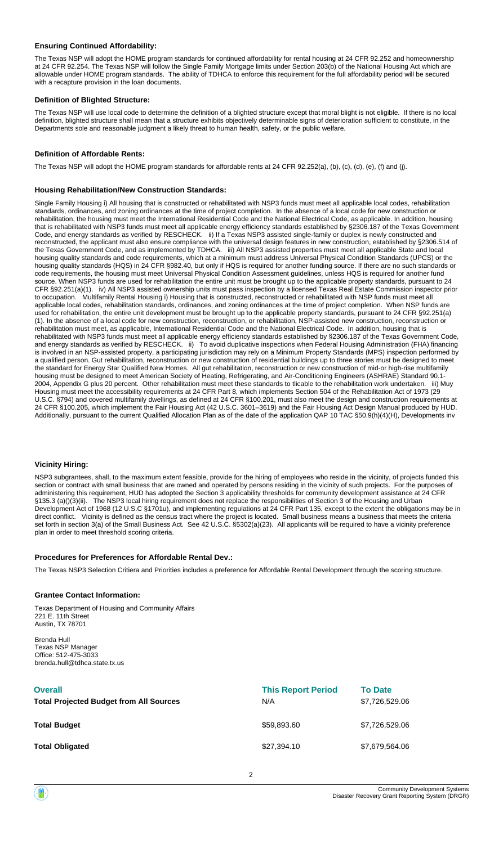#### **Ensuring Continued Affordability:**

The Texas NSP will adopt the HOME program standards for continued affordability for rental housing at 24 CFR 92.252 and homeownership at 24 CFR 92.254. The Texas NSP will follow the Single Family Mortgage limits under Section 203(b) of the National Housing Act which are allowable under HOME program standards. The ability of TDHCA to enforce this requirement for the full affordability period will be secured with a recapture provision in the loan documents.

#### **Definition of Blighted Structure:**

The Texas NSP will use local code to determine the definition of a blighted structure except that moral blight is not eligible. If there is no local definition, blighted structure shall mean that a structure exhibits objectively determinable signs of deterioration sufficient to constitute, in the Departments sole and reasonable judgment a likely threat to human health, safety, or the public welfare.

#### **Definition of Affordable Rents:**

The Texas NSP will adopt the HOME program standards for affordable rents at 24 CFR 92.252(a), (b), (c), (d), (e), (f) and (j).

#### **Housing Rehabilitation/New Construction Standards:**

Single Family Housing i) All housing that is constructed or rehabilitated with NSP3 funds must meet all applicable local codes, rehabilitation standards, ordinances, and zoning ordinances at the time of project completion. In the absence of a local code for new construction or rehabilitation, the housing must meet the International Residential Code and the National Electrical Code, as applicable. In addition, housing that is rehabilitated with NSP3 funds must meet all applicable energy efficiency standards established by §2306.187 of the Texas Government Code, and energy standards as verified by RESCHECK. ii) If a Texas NSP3 assisted single-family or duplex is newly constructed and reconstructed, the applicant must also ensure compliance with the universal design features in new construction, established by §2306.514 of the Texas Government Code, and as implemented by TDHCA. iii) All NSP3 assisted properties must meet all applicable State and local housing quality standards and code requirements, which at a minimum must address Universal Physical Condition Standards (UPCS) or the housing quality standards (HQS) in 24 CFR §982.40, but only if HQS is required for another funding source. If there are no such standards or code requirements, the housing must meet Universal Physical Condition Assessment guidelines, unless HQS is required for another fund source. When NSP3 funds are used for rehabilitation the entire unit must be brought up to the applicable property standards, pursuant to 24 CFR §92.251(a)(1). iv) All NSP3 assisted ownership units must pass inspection by a licensed Texas Real Estate Commission inspector prior to occupation. Multifamily Rental Housing i) Housing that is constructed, reconstructed or rehabilitated with NSP funds must meet all applicable local codes, rehabilitation standards, ordinances, and zoning ordinances at the time of project completion. When NSP funds are used for rehabilitation, the entire unit development must be brought up to the applicable property standards, pursuant to 24 CFR §92.251(a) (1). In the absence of a local code for new construction, reconstruction, or rehabilitation, NSP-assisted new construction, reconstruction or rehabilitation must meet, as applicable, International Residential Code and the National Electrical Code. In addition, housing that is rehabilitated with NSP3 funds must meet all applicable energy efficiency standards established by §2306.187 of the Texas Government Code, and energy standards as verified by RESCHECK. ii) To avoid duplicative inspections when Federal Housing Administration (FHA) financing is involved in an NSP-assisted property, a participating jurisdiction may rely on a Minimum Property Standards (MPS) inspection performed by a qualified person. Gut rehabilitation, reconstruction or new construction of residential buildings up to three stories must be designed to meet the standard for Energy Star Qualified New Homes. All gut rehabilitation, reconstruction or new construction of mid-or high-rise multifamily housing must be designed to meet American Society of Heating, Refrigerating, and Air-Conditioning Engineers (ASHRAE) Standard 90.1- 2004, Appendix G plus 20 percent. Other rehabilitation must meet these standards to tlicable to the rehabilitation work undertaken. iii) Muy Housing must meet the accessibility requirements at 24 CFR Part 8, which implements Section 504 of the Rehabilitation Act of 1973 (29 U.S.C. §794) and covered multifamily dwellings, as defined at 24 CFR §100.201, must also meet the design and construction requirements at 24 CFR §100.205, which implement the Fair Housing Act (42 U.S.C. 3601–3619) and the Fair Housing Act Design Manual produced by HUD. Additionally, pursuant to the current Qualified Allocation Plan as of the date of the application QAP 10 TAC §50.9(h)(4)(H), Developments inv

#### **Vicinity Hiring:**

NSP3 subgrantees, shall, to the maximum extent feasible, provide for the hiring of employees who reside in the vicinity, of projects funded this section or contract with small business that are owned and operated by persons residing in the vicinity of such projects. For the purposes of administering this requirement, HUD has adopted the Section 3 applicability thresholds for community development assistance at 24 CFR §135.3 (a)()(3)(ii). The NSP3 local hiring requirement does not replace the responsibilities of Section 3 of the Housing and Urban Development Act of 1968 (12 U.S.C §1701u), and implementing regulations at 24 CFR Part 135, except to the extent the obligations may be in direct conflict. Vicinity is defined as the census tract where the project is located. Small business means a business that meets the criteria set forth in section 3(a) of the Small Business Act. See 42 U.S.C. §5302(a)(23). All applicants will be required to have a vicinity preference plan in order to meet threshold scoring criteria.

#### **Procedures for Preferences for Affordable Rental Dev.:**

The Texas NSP3 Selection Critiera and Priorities includes a preference for Affordable Rental Development through the scoring structure.

#### **Grantee Contact Information:**

Texas Department of Housing and Community Affairs 221 E. 11th Street Austin, TX 78701

Brenda Hull Texas NSP Manager Office: 512-475-3033 brenda.hull@tdhca.state.tx.us

| <b>Overall</b><br><b>Total Projected Budget from All Sources</b> | <b>This Report Period</b><br>N/A | <b>To Date</b><br>\$7,726,529.06 |
|------------------------------------------------------------------|----------------------------------|----------------------------------|
| <b>Total Budget</b>                                              | \$59,893.60                      | \$7,726,529.06                   |
| <b>Total Obligated</b>                                           | \$27,394.10                      | \$7,679,564.06                   |

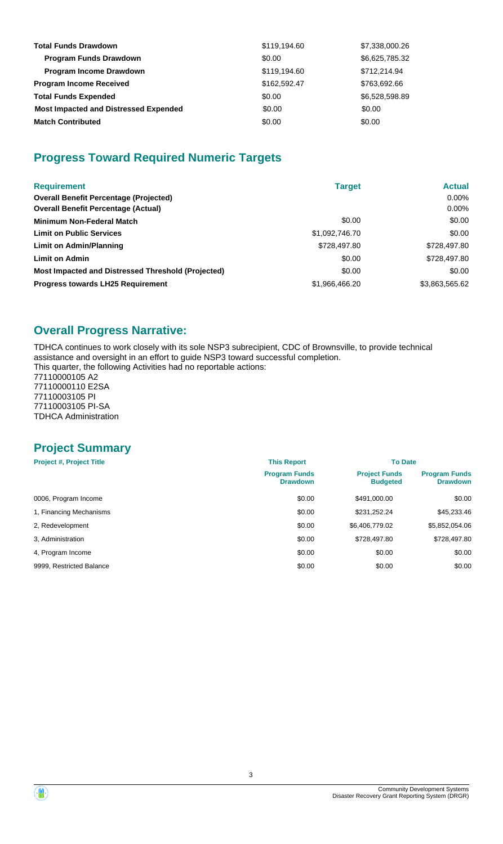| <b>Total Funds Drawdown</b>                  | \$119,194.60 | \$7,338,000.26 |
|----------------------------------------------|--------------|----------------|
| <b>Program Funds Drawdown</b>                | \$0.00       | \$6,625,785.32 |
| <b>Program Income Drawdown</b>               | \$119,194.60 | \$712,214.94   |
| <b>Program Income Received</b>               | \$162,592.47 | \$763,692.66   |
| <b>Total Funds Expended</b>                  | \$0.00       | \$6,528,598.89 |
| <b>Most Impacted and Distressed Expended</b> | \$0.00       | \$0.00         |
| <b>Match Contributed</b>                     | \$0.00       | \$0.00         |

# **Progress Toward Required Numeric Targets**

| <b>Requirement</b>                                 | <b>Target</b>  | <b>Actual</b>  |
|----------------------------------------------------|----------------|----------------|
| <b>Overall Benefit Percentage (Projected)</b>      |                | $0.00\%$       |
| <b>Overall Benefit Percentage (Actual)</b>         |                | $0.00\%$       |
| <b>Minimum Non-Federal Match</b>                   | \$0.00         | \$0.00         |
| <b>Limit on Public Services</b>                    | \$1,092,746.70 | \$0.00         |
| Limit on Admin/Planning                            | \$728,497.80   | \$728,497.80   |
| <b>Limit on Admin</b>                              | \$0.00         | \$728,497.80   |
| Most Impacted and Distressed Threshold (Projected) | \$0.00         | \$0.00         |
| <b>Progress towards LH25 Requirement</b>           | \$1,966,466.20 | \$3,863,565.62 |

# **Overall Progress Narrative:**

TDHCA continues to work closely with its sole NSP3 subrecipient, CDC of Brownsville, to provide technical assistance and oversight in an effort to guide NSP3 toward successful completion. This quarter, the following Activities had no reportable actions:

77110000105 A2 77110000110 E2SA 77110003105 PI 77110003105 PI-SA TDHCA Administration

# **Project Summary**

| <b>Project #, Project Title</b> | <b>This Report</b>                      | <b>To Date</b>                          |                                         |
|---------------------------------|-----------------------------------------|-----------------------------------------|-----------------------------------------|
|                                 | <b>Program Funds</b><br><b>Drawdown</b> | <b>Project Funds</b><br><b>Budgeted</b> | <b>Program Funds</b><br><b>Drawdown</b> |
| 0006, Program Income            | \$0.00                                  | \$491,000.00                            | \$0.00                                  |
| 1, Financing Mechanisms         | \$0.00                                  | \$231,252.24                            | \$45,233.46                             |
| 2, Redevelopment                | \$0.00                                  | \$6,406,779.02                          | \$5,852,054.06                          |
| 3. Administration               | \$0.00                                  | \$728,497.80                            | \$728,497.80                            |
| 4, Program Income               | \$0.00                                  | \$0.00                                  | \$0.00                                  |
| 9999, Restricted Balance        | \$0.00                                  | \$0.00                                  | \$0.00                                  |

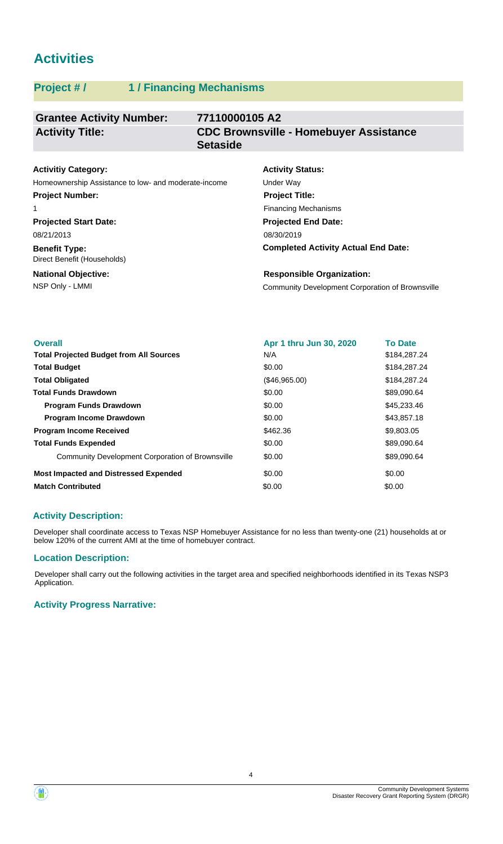# **Activities**

# **Project # / 1 / Financing Mechanisms**

#### **Grantee Activity Number: 77110000105 A2 CDC Brownsville - Homebuyer Assistance Setaside Activity Title:**

| <b>Activitiy Category:</b>                           | <b>Activity S</b> |
|------------------------------------------------------|-------------------|
| Homeownership Assistance to low- and moderate-income | Under Way         |
| <b>Project Number:</b>                               | <b>Project Ti</b> |
|                                                      | Financing N       |

**Projected Start Date:** 08/21/2013

**Benefit Type:** Direct Benefit (Households)

#### **National Objective:**

# **Activity Status: Projected End Date:** 08/30/2019 **Project Title:** Financing Mechanisms

**Completed Activity Actual End Date:**

NSP Only - LMMI Community Development Corporation of Brownsville **Responsible Organization:**

| <b>Overall</b>                                   | Apr 1 thru Jun 30, 2020 | <b>To Date</b> |
|--------------------------------------------------|-------------------------|----------------|
| <b>Total Projected Budget from All Sources</b>   | N/A                     | \$184,287.24   |
| <b>Total Budget</b>                              | \$0.00                  | \$184,287.24   |
| <b>Total Obligated</b>                           | (\$46,965.00)           | \$184,287,24   |
| <b>Total Funds Drawdown</b>                      | \$0.00                  | \$89,090.64    |
| <b>Program Funds Drawdown</b>                    | \$0.00                  | \$45,233.46    |
| <b>Program Income Drawdown</b>                   | \$0.00                  | \$43,857.18    |
| <b>Program Income Received</b>                   | \$462.36                | \$9,803.05     |
| <b>Total Funds Expended</b>                      | \$0.00                  | \$89,090.64    |
| Community Development Corporation of Brownsville | \$0.00                  | \$89,090.64    |
| <b>Most Impacted and Distressed Expended</b>     | \$0.00                  | \$0.00         |
| <b>Match Contributed</b>                         | \$0.00                  | \$0.00         |

## **Activity Description:**

Developer shall coordinate access to Texas NSP Homebuyer Assistance for no less than twenty-one (21) households at or below 120% of the current AMI at the time of homebuyer contract.

### **Location Description:**

Developer shall carry out the following activities in the target area and specified neighborhoods identified in its Texas NSP3 Application.

### **Activity Progress Narrative:**

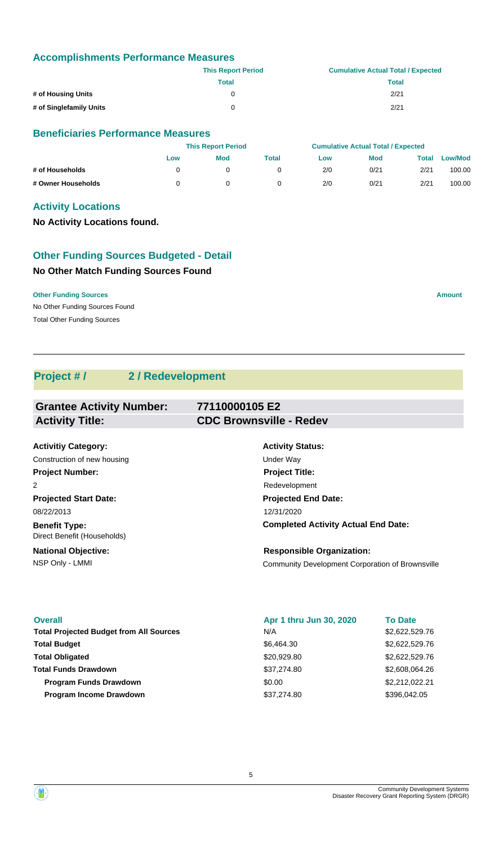### **Accomplishments Performance Measures**

|                         | <b>This Report Period</b> | <b>Cumulative Actual Total / Expected</b> |
|-------------------------|---------------------------|-------------------------------------------|
|                         | Total                     | <b>Total</b>                              |
| # of Housing Units      |                           | 2/21                                      |
| # of Singlefamily Units | 0                         | 2/21                                      |

#### **Beneficiaries Performance Measures**

|                    |     | <b>This Report Period</b> |       |     | <b>Cumulative Actual Total / Expected</b> |       |                |
|--------------------|-----|---------------------------|-------|-----|-------------------------------------------|-------|----------------|
|                    | Low | <b>Mod</b>                | Total | Low | <b>Mod</b>                                | Total | <b>Low/Mod</b> |
| # of Households    |     |                           |       | 2/0 | 0/21                                      | 2/21  | 100.00         |
| # Owner Households |     |                           |       | 2/0 | 0/21                                      | 2/21  | 100.00         |

### **Activity Locations**

**No Activity Locations found.**

### **Other Funding Sources Budgeted - Detail**

### **No Other Match Funding Sources Found**

No Other Funding Sources Found **Other Funding Sources Amount Amount Amount Amount Amount Amount Amount** Total Other Funding Sources

# **Project # / 2 / Redevelopment**

| <b>Grantee Activity Number:</b>                     | 77110000105 E2                                          |
|-----------------------------------------------------|---------------------------------------------------------|
| <b>Activity Title:</b>                              | <b>CDC Brownsville - Redev</b>                          |
|                                                     |                                                         |
| <b>Activitiy Category:</b>                          | <b>Activity Status:</b>                                 |
| Construction of new housing                         | Under Way                                               |
| <b>Project Number:</b>                              | <b>Project Title:</b>                                   |
| 2                                                   | Redevelopment                                           |
| <b>Projected Start Date:</b>                        | <b>Projected End Date:</b>                              |
| 08/22/2013                                          | 12/31/2020                                              |
| <b>Benefit Type:</b><br>Direct Benefit (Households) | <b>Completed Activity Actual End Date:</b>              |
| <b>National Objective:</b>                          | <b>Responsible Organization:</b>                        |
| NSP Only - LMMI                                     | <b>Community Development Corporation of Brownsville</b> |

#### **Overall** \$2,622,529.76 Total Projected Budget from All Sources **Kanadia Exercise State State State State S2,622,529.76** \$6,464.30 \$2,622,529.76 **Total Budget Program Income Drawdown Total Funds Drawdown Total Obligated** \$37,274.80 \$37,274.80 **Apr 1 thru Jun 30, 2020** \$396,042.05 N/A \$20,929.80 **To Date** \$2,608,064.26 **Program Funds Drawdown**  $\text{0.00}$  \$2,212,022.21

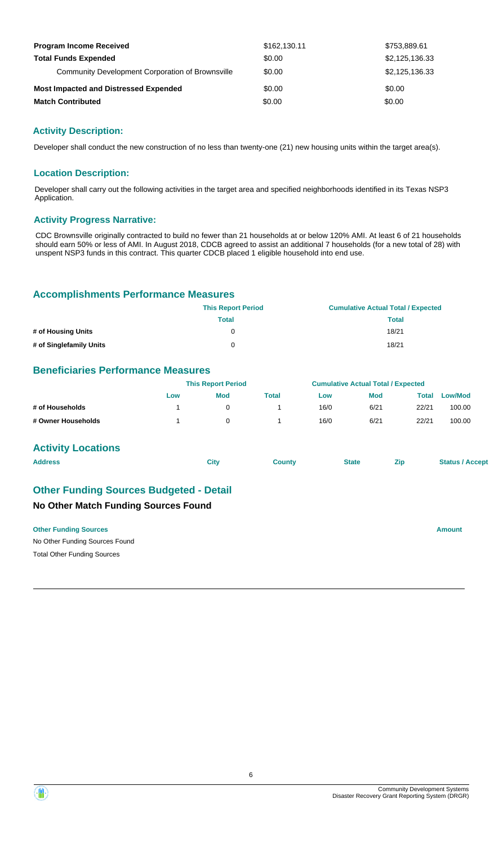| <b>Program Income Received</b>                   | \$162,130.11 | \$753,889.61   |
|--------------------------------------------------|--------------|----------------|
| <b>Total Funds Expended</b>                      | \$0.00       | \$2,125,136.33 |
| Community Development Corporation of Brownsville | \$0.00       | \$2,125,136,33 |
| <b>Most Impacted and Distressed Expended</b>     | \$0.00       | \$0.00         |
| <b>Match Contributed</b>                         | \$0.00       | \$0.00         |

### **Activity Description:**

Developer shall conduct the new construction of no less than twenty-one (21) new housing units within the target area(s).

#### **Location Description:**

Developer shall carry out the following activities in the target area and specified neighborhoods identified in its Texas NSP3 Application.

#### **Activity Progress Narrative:**

CDC Brownsville originally contracted to build no fewer than 21 households at or below 120% AMI. At least 6 of 21 households should earn 50% or less of AMI. In August 2018, CDCB agreed to assist an additional 7 households (for a new total of 28) with unspent NSP3 funds in this contract. This quarter CDCB placed 1 eligible household into end use.

#### **Accomplishments Performance Measures**

|                         | <b>This Report Period</b> | <b>Cumulative Actual Total / Expected</b> |
|-------------------------|---------------------------|-------------------------------------------|
|                         | Total                     | Total                                     |
| # of Housing Units      |                           | 18/21                                     |
| # of Singlefamily Units |                           | 18/21                                     |

### **Beneficiaries Performance Measures**

|                    | <b>This Report Period</b> |     |       | <b>Cumulative Actual Total / Expected</b> |            |       |         |
|--------------------|---------------------------|-----|-------|-------------------------------------------|------------|-------|---------|
|                    | Low                       | Mod | Total | Low                                       | <b>Mod</b> | Total | Low/Mod |
| # of Households    |                           |     |       | 16/0                                      | 6/21       | 22/21 | 100.00  |
| # Owner Households |                           |     |       | 16/0                                      | 6/21       | 22/21 | 100.00  |

#### **Activity Locations**

| <b>Address</b> | Citv | <b>County</b> | <b>State</b> | <b>Zip</b> | <b>Status / Accept</b> |
|----------------|------|---------------|--------------|------------|------------------------|
|                |      |               |              |            |                        |

## **No Other Match Funding Sources Found Other Funding Sources Budgeted - Detail**

#### **Other Funding Sources Amount Amount Amount Amount Amount Amount Amount**

No Other Funding Sources Found Total Other Funding Sources

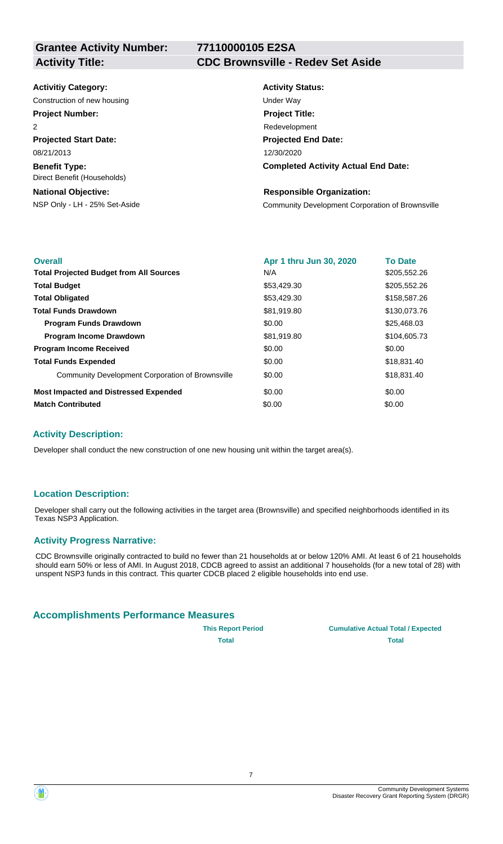# **77110000105 E2SA**

#### **Activity Title: CDC Brownsville - Redev Set Aside**

#### **Activitiy Category:**

Construction of new housing Theorem 2012 Construction of new housing Under Way

# **Project Number:**

**Projected Start Date:** 08/21/2013  $\overline{2}$ 

**Benefit Type:** Direct Benefit (Households)

#### **National Objective:**

# **Activity Status: Projected End Date: Completed Activity Actual End Date:** 12/30/2020 **Project Title:** Redevelopment

#### **Responsible Organization:**

NSP Only - LH - 25% Set-Aside Community Development Corporation of Brownsville

| <b>Overall</b>                                   | Apr 1 thru Jun 30, 2020 | <b>To Date</b> |
|--------------------------------------------------|-------------------------|----------------|
| <b>Total Projected Budget from All Sources</b>   | N/A                     | \$205,552.26   |
| <b>Total Budget</b>                              | \$53,429.30             | \$205,552.26   |
| <b>Total Obligated</b>                           | \$53,429.30             | \$158,587.26   |
| <b>Total Funds Drawdown</b>                      | \$81,919.80             | \$130,073.76   |
| <b>Program Funds Drawdown</b>                    | \$0.00                  | \$25,468.03    |
| <b>Program Income Drawdown</b>                   | \$81,919.80             | \$104,605.73   |
| <b>Program Income Received</b>                   | \$0.00                  | \$0.00         |
| <b>Total Funds Expended</b>                      | \$0.00                  | \$18,831.40    |
| Community Development Corporation of Brownsville | \$0.00                  | \$18,831.40    |
| <b>Most Impacted and Distressed Expended</b>     | \$0.00                  | \$0.00         |
| <b>Match Contributed</b>                         | \$0.00                  | \$0.00         |

### **Activity Description:**

Developer shall conduct the new construction of one new housing unit within the target area(s).

### **Location Description:**

Developer shall carry out the following activities in the target area (Brownsville) and specified neighborhoods identified in its Texas NSP3 Application.

### **Activity Progress Narrative:**

CDC Brownsville originally contracted to build no fewer than 21 households at or below 120% AMI. At least 6 of 21 households should earn 50% or less of AMI. In August 2018, CDCB agreed to assist an additional 7 households (for a new total of 28) with unspent NSP3 funds in this contract. This quarter CDCB placed 2 eligible households into end use.

### **Accomplishments Performance Measures**

**This Report Period Cumulative Actual Total / Expected Total Total**